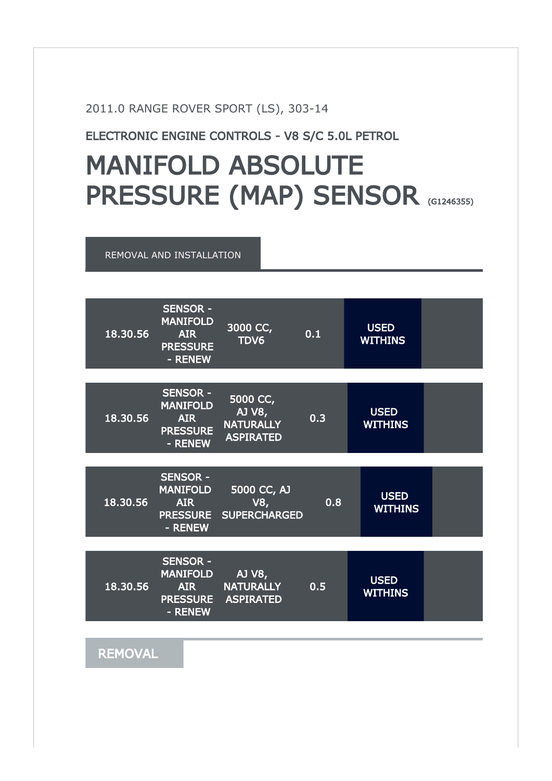2011.0 RANGE ROVER SPORT (LS), 303-14

ELECTRONIC ENGINE CONTROLS - V8 S/C 5.0L PETROL

## MANIFOLD ABSOLUTE PRESSURE (MAP) SENSOR (G1246355)

REMOVAL AND INSTALLATION



**REMOVAL**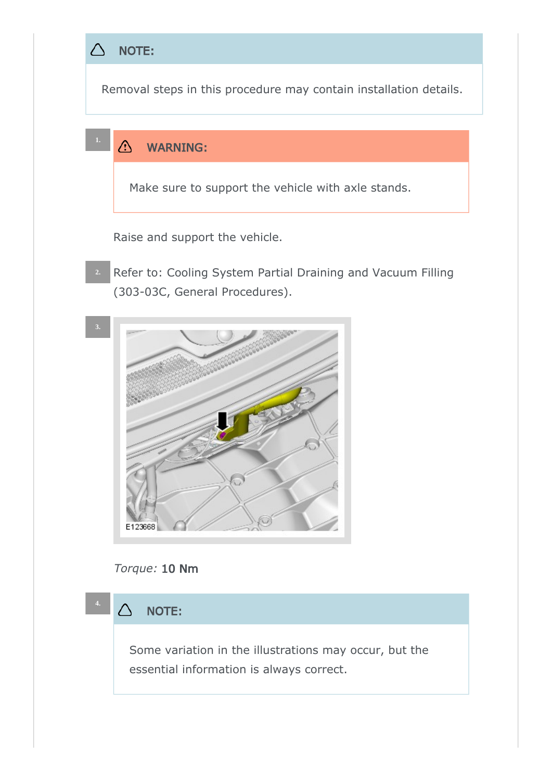



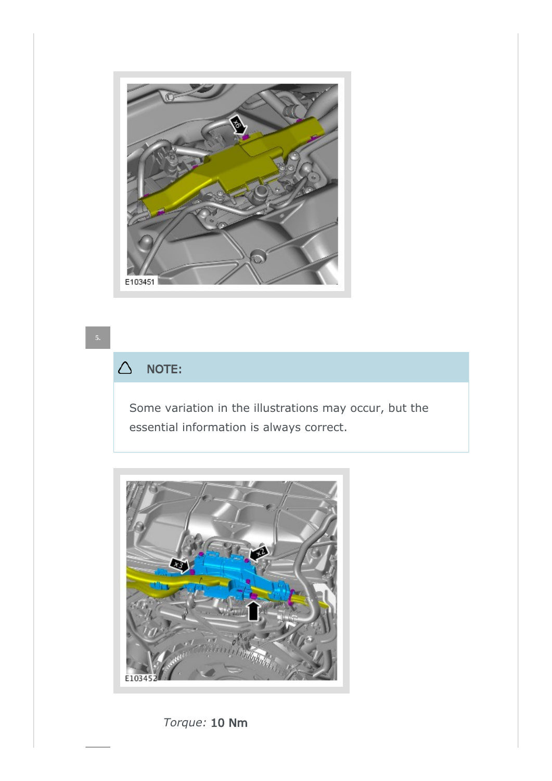

## $\triangle$ NOTE:

Some variation in the illustrations may occur, but the essential information is always correct.



Torque: 10 Nm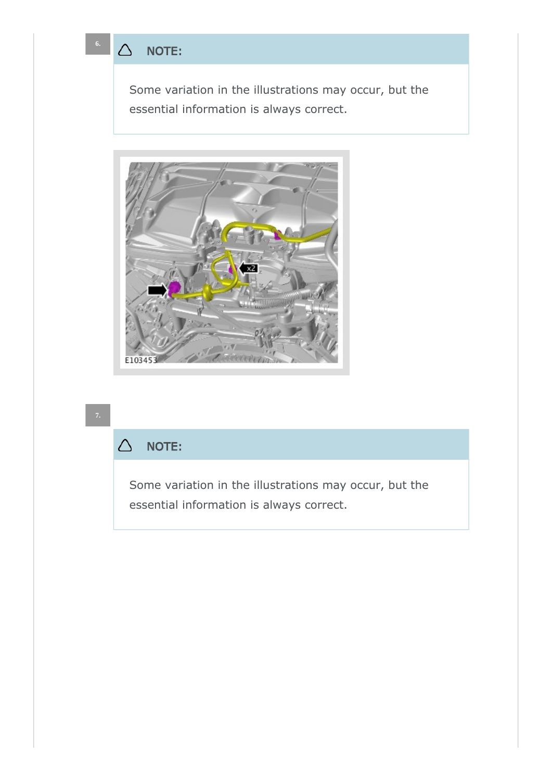**6.**

Some variation in the illustrations may occur, but the essential information is always correct.



## $\triangle$ NOTE:

Some variation in the illustrations may occur, but the essential information is always correct.